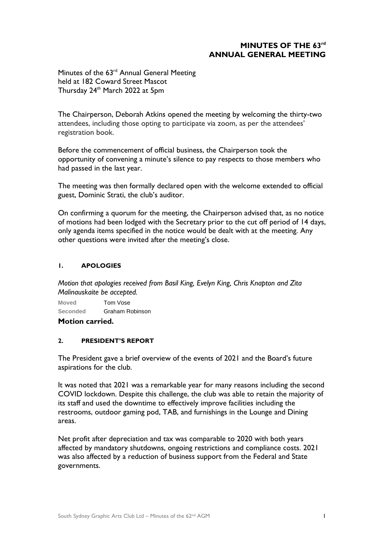# **MINUTES OF THE 63rd ANNUAL GENERAL MEETING**

Minutes of the 63<sup>rd</sup> Annual General Meeting held at 182 Coward Street Mascot Thursday 24<sup>th</sup> March 2022 at 5pm

The Chairperson, Deborah Atkins opened the meeting by welcoming the thirty-two attendees, including those opting to participate via zoom, as per the attendees' registration book.

Before the commencement of official business, the Chairperson took the opportunity of convening a minute's silence to pay respects to those members who had passed in the last year.

The meeting was then formally declared open with the welcome extended to official guest, Dominic Strati, the club's auditor.

On confirming a quorum for the meeting, the Chairperson advised that, as no notice of motions had been lodged with the Secretary prior to the cut off period of 14 days, only agenda items specified in the notice would be dealt with at the meeting. Any other questions were invited after the meeting's close.

### **1. APOLOGIES**

*Motion that apologies received from Basil King, Evelyn King, Chris Knapton and Zita Malinauskaite be accepted.*

**Moved** Tom Vose **Seconded** Graham Robinson

**Motion carried.** 

#### **2. PRESIDENT'S REPORT**

The President gave a brief overview of the events of 2021 and the Board's future aspirations for the club.

It was noted that 2021 was a remarkable year for many reasons including the second COVID lockdown. Despite this challenge, the club was able to retain the majority of its staff and used the downtime to effectively improve facilities including the restrooms, outdoor gaming pod, TAB, and furnishings in the Lounge and Dining areas.

Net profit after depreciation and tax was comparable to 2020 with both years affected by mandatory shutdowns, ongoing restrictions and compliance costs. 2021 was also affected by a reduction of business support from the Federal and State governments.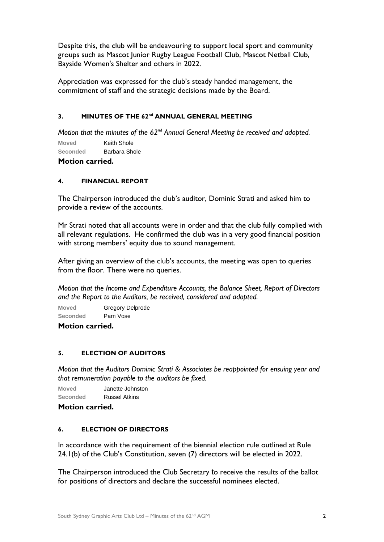Despite this, the club will be endeavouring to support local sport and community groups such as Mascot Junior Rugby League Football Club, Mascot Netball Club, Bayside Women's Shelter and others in 2022.

Appreciation was expressed for the club's steady handed management, the commitment of staff and the strategic decisions made by the Board.

### **3. MINUTES OF THE 62<sup>nd</sup> ANNUAL GENERAL MEETING**

*Motion that the minutes of the 62<sup>nd</sup> Annual General Meeting be received and adopted.* 

**Moved** Keith Shole

**Seconded** Barbara Shole

# **Motion carried.**

## **4. FINANCIAL REPORT**

The Chairperson introduced the club's auditor, Dominic Strati and asked him to provide a review of the accounts.

Mr Strati noted that all accounts were in order and that the club fully complied with all relevant regulations. He confirmed the club was in a very good financial position with strong members' equity due to sound management.

After giving an overview of the club's accounts, the meeting was open to queries from the floor. There were no queries.

*Motion that the Income and Expenditure Accounts, the Balance Sheet, Report of Directors and the Report to the Auditors, be received, considered and adopted.*

**Moved** Gregory Delprode **Seconded** Pam Vose

**Motion carried.** 

## **5. ELECTION OF AUDITORS**

*Motion that the Auditors Dominic Strati & Associates be reappointed for ensuing year and that remuneration payable to the auditors be fixed.*

**Moved** Janette Johnston **Seconded** Russel Atkins

**Motion carried.** 

#### **6. ELECTION OF DIRECTORS**

In accordance with the requirement of the biennial election rule outlined at Rule 24.1(b) of the Club's Constitution, seven (7) directors will be elected in 2022.

The Chairperson introduced the Club Secretary to receive the results of the ballot for positions of directors and declare the successful nominees elected.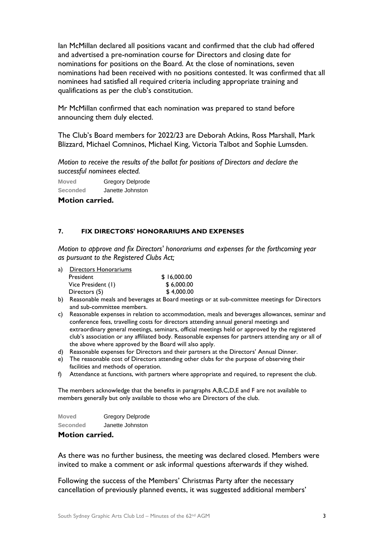Ian McMillan declared all positions vacant and confirmed that the club had offered and advertised a pre-nomination course for Directors and closing date for nominations for positions on the Board. At the close of nominations, seven nominations had been received with no positions contested. It was confirmed that all nominees had satisfied all required criteria including appropriate training and qualifications as per the club's constitution.

Mr McMillan confirmed that each nomination was prepared to stand before announcing them duly elected.

The Club's Board members for 2022/23 are Deborah Atkins, Ross Marshall, Mark Blizzard, Michael Comninos, Michael King, Victoria Talbot and Sophie Lumsden.

*Motion to receive the results of the ballot for positions of Directors and declare the successful nominees elected.*

**Moved** Gregory Delprode **Seconded** Janette Johnston

**Motion carried.** 

#### **7. FIX DIRECTORS' HONORARIUMS AND EXPENSES**

*Motion to approve and fix Directors' honorariums and expenses for the forthcoming year as pursuant to the Registered Clubs Act;*

| a). | Directors Honorariums |             |
|-----|-----------------------|-------------|
|     | President             | \$16,000.00 |
|     | Vice President (1)    | \$6,000,00  |
|     | Directors (5)         | \$4,000.00  |

- b) Reasonable meals and beverages at Board meetings or at sub-committee meetings for Directors and sub-committee members.
- c) Reasonable expenses in relation to accommodation, meals and beverages allowances, seminar and conference fees, travelling costs for directors attending annual general meetings and extraordinary general meetings, seminars, official meetings held or approved by the registered club's association or any affiliated body. Reasonable expenses for partners attending any or all of the above where approved by the Board will also apply.
- d) Reasonable expenses for Directors and their partners at the Directors' Annual Dinner.
- e) The reasonable cost of Directors attending other clubs for the purpose of observing their facilities and methods of operation.
- f) Attendance at functions, with partners where appropriate and required, to represent the club.

The members acknowledge that the benefits in paragraphs A,B,C,D,E and F are not available to members generally but only available to those who are Directors of the club.

| <b>Moved</b> | <b>Gregory Delprode</b> |
|--------------|-------------------------|
| Seconded     | Janette Johnston        |

### **Motion carried.**

As there was no further business, the meeting was declared closed. Members were invited to make a comment or ask informal questions afterwards if they wished.

Following the success of the Members' Christmas Party after the necessary cancellation of previously planned events, it was suggested additional members'